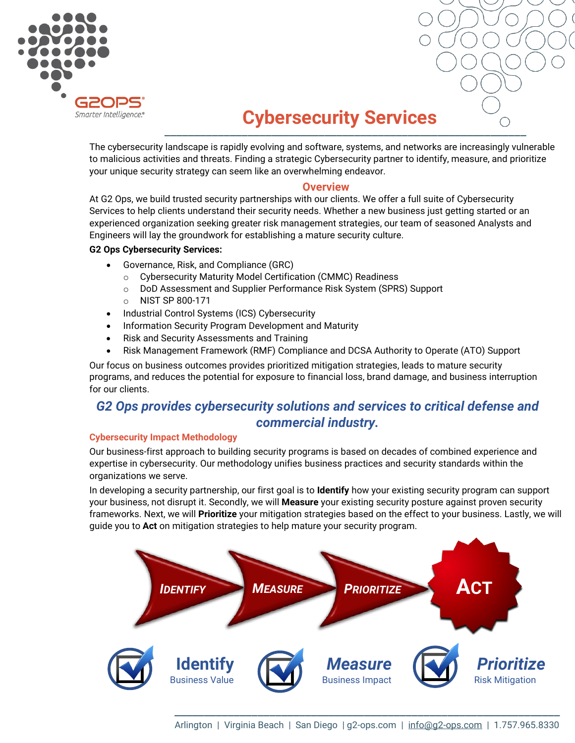



# \_\_\_\_\_\_\_\_\_\_\_\_\_\_\_\_\_\_\_\_\_\_\_\_\_\_\_\_\_\_\_\_\_\_\_\_\_\_\_\_\_\_\_\_\_\_\_\_\_\_\_\_\_\_\_\_\_\_\_\_\_ **Cybersecurity Services**

The cybersecurity landscape is rapidly evolving and software, systems, and networks are increasingly vulnerable to malicious activities and threats. Finding a strategic Cybersecurity partner to identify, measure, and prioritize your unique security strategy can seem like an overwhelming endeavor.

### **Overview**

At G2 Ops, we build trusted security partnerships with our clients. We offer a full suite of Cybersecurity Services to help clients understand their security needs. Whether a new business just getting started or an experienced organization seeking greater risk management strategies, our team of seasoned Analysts and Engineers will lay the groundwork for establishing a mature security culture.

### **G2 Ops Cybersecurity Services:**

- Governance, Risk, and Compliance (GRC)
	- o Cybersecurity Maturity Model Certification (CMMC) Readiness
	- o DoD Assessment and Supplier Performance Risk System (SPRS) Support
	- o NIST SP 800-171
- Industrial Control Systems (ICS) Cybersecurity
- Information Security Program Development and Maturity
- Risk and Security Assessments and Training
- Risk Management Framework (RMF) Compliance and DCSA Authority to Operate (ATO) Support

Our focus on business outcomes provides prioritized mitigation strategies, leads to mature security programs, and reduces the potential for exposure to financial loss, brand damage, and business interruption for our clients.

## *G2 Ops provides cybersecurity solutions and services to critical defense and commercial industry.*

#### **Cybersecurity Impact Methodology**

Our business-first approach to building security programs is based on decades of combined experience and expertise in cybersecurity. Our methodology unifies business practices and security standards within the organizations we serve.

In developing a security partnership, our first goal is to **Identify** how your existing security program can support your business, not disrupt it. Secondly, we will **Measure** your existing security posture against proven security frameworks. Next, we will **Prioritize** your mitigation strategies based on the effect to your business. Lastly, we will guide you to **Act** on mitigation strategies to help mature your security program.